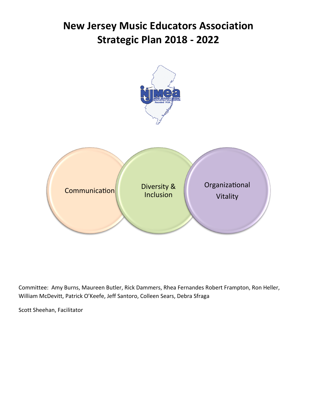# **New Jersey Music Educators Association Strategic Plan 2018 - 2022**



Committee: Amy Burns, Maureen Butler, Rick Dammers, Rhea Fernandes Robert Frampton, Ron Heller, William McDevitt, Patrick O'Keefe, Jeff Santoro, Colleen Sears, Debra Sfraga

Scott Sheehan, Facilitator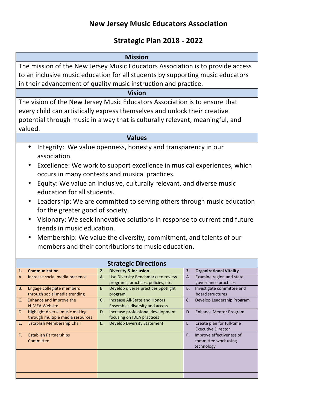# **New Jersey Music Educators Association**

## **Strategic Plan 2018 - 2022**

| <b>Mission</b>                                                                                                                                                                                                                                                                                                                                                                                                                                                                                                                                                                                                                                           |                                                                                                                                                                                                                                                                                                                                                     |                                                                                                                                                                                                                                                                                                                                  |  |  |  |
|----------------------------------------------------------------------------------------------------------------------------------------------------------------------------------------------------------------------------------------------------------------------------------------------------------------------------------------------------------------------------------------------------------------------------------------------------------------------------------------------------------------------------------------------------------------------------------------------------------------------------------------------------------|-----------------------------------------------------------------------------------------------------------------------------------------------------------------------------------------------------------------------------------------------------------------------------------------------------------------------------------------------------|----------------------------------------------------------------------------------------------------------------------------------------------------------------------------------------------------------------------------------------------------------------------------------------------------------------------------------|--|--|--|
| The mission of the New Jersey Music Educators Association is to provide access<br>to an inclusive music education for all students by supporting music educators<br>in their advancement of quality music instruction and practice.                                                                                                                                                                                                                                                                                                                                                                                                                      |                                                                                                                                                                                                                                                                                                                                                     |                                                                                                                                                                                                                                                                                                                                  |  |  |  |
|                                                                                                                                                                                                                                                                                                                                                                                                                                                                                                                                                                                                                                                          | <b>Vision</b>                                                                                                                                                                                                                                                                                                                                       |                                                                                                                                                                                                                                                                                                                                  |  |  |  |
| The vision of the New Jersey Music Educators Association is to ensure that<br>every child can artistically express themselves and unlock their creative<br>potential through music in a way that is culturally relevant, meaningful, and<br>valued.                                                                                                                                                                                                                                                                                                                                                                                                      |                                                                                                                                                                                                                                                                                                                                                     |                                                                                                                                                                                                                                                                                                                                  |  |  |  |
|                                                                                                                                                                                                                                                                                                                                                                                                                                                                                                                                                                                                                                                          | <b>Values</b>                                                                                                                                                                                                                                                                                                                                       |                                                                                                                                                                                                                                                                                                                                  |  |  |  |
| Integrity: We value openness, honesty and transparency in our<br>$\bullet$<br>association.<br>Excellence: We work to support excellence in musical experiences, which<br>$\bullet$<br>occurs in many contexts and musical practices.<br>Equity: We value an inclusive, culturally relevant, and diverse music<br>education for all students.<br>Leadership: We are committed to serving others through music education<br>for the greater good of society.<br>Visionary: We seek innovative solutions in response to current and future<br>trends in music education.<br>Membership: We value the diversity, commitment, and talents of our<br>$\bullet$ |                                                                                                                                                                                                                                                                                                                                                     |                                                                                                                                                                                                                                                                                                                                  |  |  |  |
|                                                                                                                                                                                                                                                                                                                                                                                                                                                                                                                                                                                                                                                          | members and their contributions to music education.                                                                                                                                                                                                                                                                                                 |                                                                                                                                                                                                                                                                                                                                  |  |  |  |
|                                                                                                                                                                                                                                                                                                                                                                                                                                                                                                                                                                                                                                                          | <b>Strategic Directions</b>                                                                                                                                                                                                                                                                                                                         |                                                                                                                                                                                                                                                                                                                                  |  |  |  |
| <b>Communication</b><br>1.                                                                                                                                                                                                                                                                                                                                                                                                                                                                                                                                                                                                                               | <b>Diversity &amp; Inclusion</b><br>2.                                                                                                                                                                                                                                                                                                              | 3.<br><b>Organizational Vitality</b>                                                                                                                                                                                                                                                                                             |  |  |  |
| Increase social media presence<br>А.<br>Engage collegiate members<br><b>B.</b><br>through social media trending<br>Enhance and improve the<br>C.<br><b>NJMEA Website</b><br>Highlight diverse music making<br>D.<br>through multiple media resources<br>Establish Membership Chair<br>Ε.<br><b>Establish Partnerships</b><br>F.<br>Committee                                                                                                                                                                                                                                                                                                             | Use Diversity Benchmarks to review<br>А.<br>programs, practices, policies, etc.<br><b>B.</b><br>Develop diverse practices Spotlight<br>program<br><b>Increase All-State and Honors</b><br>C.<br>Ensembles diversity and access<br>Increase professional development<br>D.<br>focusing on IDEA practices<br>Ε.<br><b>Develop Diversity Statement</b> | Examine region and state<br>A.<br>governance practices<br>Investigate committee and<br>В.<br>board structures<br>C.<br>Develop Leadership Program<br><b>Enhance Mentor Program</b><br>D.<br>Е.<br>Create plan for full-time<br><b>Executive Director</b><br>Improve effectiveness of<br>F.<br>committee work using<br>technology |  |  |  |
|                                                                                                                                                                                                                                                                                                                                                                                                                                                                                                                                                                                                                                                          |                                                                                                                                                                                                                                                                                                                                                     |                                                                                                                                                                                                                                                                                                                                  |  |  |  |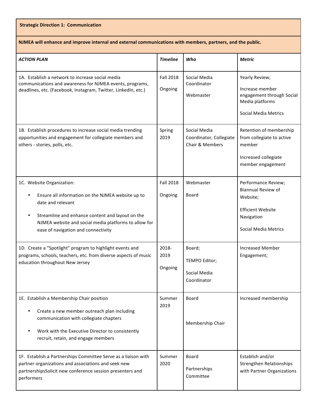#### **Strategic Direction 1: Communication**

**NJMEA will enhance and improve internal and external communications with members, partners, and the public.**

| <b>ACTION PLAN</b>                                                                                                                                                                                                                                                   | <b>Timeline</b>             | Who                                                        | Metric                                                                                                                         |
|----------------------------------------------------------------------------------------------------------------------------------------------------------------------------------------------------------------------------------------------------------------------|-----------------------------|------------------------------------------------------------|--------------------------------------------------------------------------------------------------------------------------------|
| 1A. Establish a network to increase social media<br>communications and awareness for NJMEA events, programs,<br>deadlines, etc. (Facebook, Instagram, Twitter, LinkedIn, etc.)                                                                                       | <b>Fall 2018</b><br>Ongoing | Social Media<br>Coordinator<br>Webmaster                   | Yearly Review;<br>Increase member<br>engagement through Social<br>Media platforms<br><b>Social Media Metrics</b>               |
| 1B. Establish procedures to increase social media trending<br>opportunities and engagement for collegiate members and<br>others - stories, polls, etc.                                                                                                               | Spring<br>2019              | Social Media<br>Coordinator, Collegiate<br>Chair & Members | Retention of membership<br>from collegiate to active<br>member<br>Increased collegiate<br>member engagement                    |
| 1C. Website Organization:<br>Ensure all information on the NJMEA website up to<br>date and relevant<br>Streamline and enhance content and layout on the<br>$\bullet$<br>NJMEA website and social media platforms to allow for<br>ease of navigation and connectivity | <b>Fall 2018</b><br>Ongoing | Webmaster<br>Board                                         | Performance Review;<br><b>Biannual Review of</b><br>Website;<br><b>Efficient Website</b><br>Navigation<br>Social Media Metrics |
| 1D. Create a "Spotlight" program to highlight events and<br>programs, schools, teachers, etc. from diverse aspects of music<br>education throughout New Jersey                                                                                                       | 2018-<br>2019<br>Ongoing    | Board;<br>TEMPO Editor;<br>Social Media<br>Coordinator     | <b>Increased Member</b><br>Engagement;                                                                                         |
| 1E. Establish a Membership Chair position<br>Create a new member outreach plan including<br>$\bullet$<br>communication with collegiate chapters<br>Work with the Executive Director to consistently<br>$\bullet$<br>recruit, retain, and engage members              | Summer<br>2019              | Board<br>Membership Chair                                  | Increased membership                                                                                                           |
| 1F. Establish a Partnerships Committee Serve as a liaison with<br>partner organizations and associations and seek new<br>partnershipsSolicit new conference session presenters and<br>performers                                                                     | Summer<br>2020              | Board<br>Partnerships<br>Committee                         | Establish and/or<br><b>Strengthen Relationships</b><br>with Partner Organizations                                              |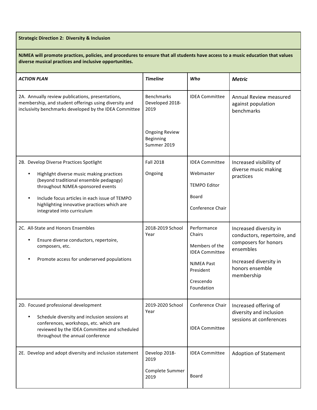**Strategic Direction 2: Diversity & Inclusion** 

NJMEA will promote practices, policies, and procedures to ensure that all students have access to a music education that values diverse musical practices and inclusive opportunities.

| <b>ACTION PLAN</b>                                                                                                                                                                                                                                                                                                         | <b>Timeline</b>                                   | Who                                                                                                                           | <b>Metric</b>                                                                                                                                         |
|----------------------------------------------------------------------------------------------------------------------------------------------------------------------------------------------------------------------------------------------------------------------------------------------------------------------------|---------------------------------------------------|-------------------------------------------------------------------------------------------------------------------------------|-------------------------------------------------------------------------------------------------------------------------------------------------------|
| 2A. Annually review publications, presentations,<br>membership, and student offerings using diversity and<br>inclusivity benchmarks developed by the IDEA Committee                                                                                                                                                        | <b>Benchmarks</b><br>Developed 2018-<br>2019      | <b>IDEA Committee</b>                                                                                                         | Annual Review measured<br>against population<br>benchmarks                                                                                            |
|                                                                                                                                                                                                                                                                                                                            | <b>Ongoing Review</b><br>Beginning<br>Summer 2019 |                                                                                                                               |                                                                                                                                                       |
| 2B. Develop Diverse Practices Spotlight<br>Highlight diverse music making practices<br>$\bullet$<br>(beyond traditional ensemble pedagogy)<br>throughout NJMEA-sponsored events<br>Include focus articles in each issue of TEMPO<br>$\bullet$<br>highlighting innovative practices which are<br>integrated into curriculum | <b>Fall 2018</b><br>Ongoing                       | <b>IDEA Committee</b><br>Webmaster<br><b>TEMPO Editor</b><br>Board<br>Conference Chair                                        | Increased visibility of<br>diverse music making<br>practices                                                                                          |
| 2C. All-State and Honors Ensembles<br>Ensure diverse conductors, repertoire,<br>٠<br>composers, etc.<br>Promote access for underserved populations<br>$\bullet$                                                                                                                                                            | 2018-2019 School<br>Year                          | Performance<br>Chairs<br>Members of the<br><b>IDEA Committee</b><br><b>NJMEA Past</b><br>President<br>Crescendo<br>Foundation | Increased diversity in<br>conductors, repertoire, and<br>composers for honors<br>ensembles<br>Increased diversity in<br>honors ensemble<br>membership |
| 2D. Focused professional development<br>Schedule diversity and inclusion sessions at<br>$\bullet$<br>conferences, workshops, etc. which are<br>reviewed by the IDEA Committee and scheduled<br>throughout the annual conference                                                                                            | 2019-2020 School<br>Year                          | Conference Chair<br><b>IDEA Committee</b>                                                                                     | Increased offering of<br>diversity and inclusion<br>sessions at conferences                                                                           |
| 2E. Develop and adopt diversity and inclusion statement                                                                                                                                                                                                                                                                    | Develop 2018-<br>2019<br>Complete Summer<br>2019  | <b>IDEA Committee</b><br><b>Board</b>                                                                                         | <b>Adoption of Statement</b>                                                                                                                          |